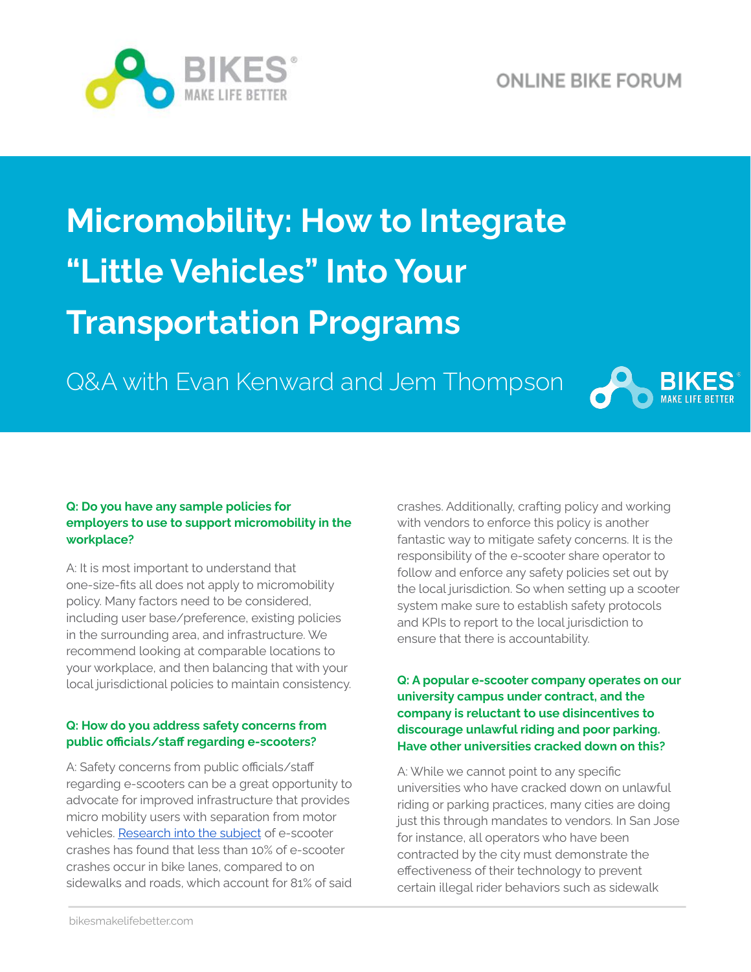

# **Micromobility: How to Integrate "Little Vehicles" Into Your Transportation Programs**

Q&A with Evan Kenward and Jem Thompson



#### **Q: Do you have any sample policies for employers to use to support micromobility in the workplace?**

A: It is most important to understand that one-size-fits all does not apply to micromobility policy. Many factors need to be considered, including user base/preference, existing policies in the surrounding area, and infrastructure. We recommend looking at comparable locations to your workplace, and then balancing that with your local jurisdictional policies to maintain consistency.

### **Q: How do you address safety concerns from public officials/staff regarding e-scooters?**

A: Safety concerns from public officials/staff regarding e-scooters can be a great opportunity to advocate for improved infrastructure that provides micro mobility users with separation from motor vehicles. [Research](https://www.sciencedirect.com/science/article/pii/S0022437520301663) into the subject of e-scooter crashes has found that less than 10% of e-scooter crashes occur in bike lanes, compared to on sidewalks and roads, which account for 81% of said crashes. Additionally, crafting policy and working with vendors to enforce this policy is another fantastic way to mitigate safety concerns. It is the responsibility of the e-scooter share operator to follow and enforce any safety policies set out by the local jurisdiction. So when setting up a scooter system make sure to establish safety protocols and KPIs to report to the local jurisdiction to ensure that there is accountability.

#### **Q: A popular e-scooter company operates on our university campus under contract, and the company is reluctant to use disincentives to discourage unlawful riding and poor parking. Have other universities cracked down on this?**

A: While we cannot point to any specific universities who have cracked down on unlawful riding or parking practices, many cities are doing just this through mandates to vendors. In San Jose for instance, all operators who have been contracted by the city must demonstrate the effectiveness of their technology to prevent certain illegal rider behaviors such as sidewalk